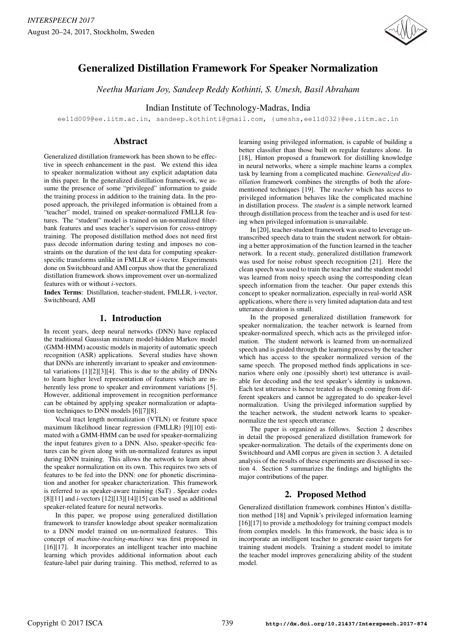

# Generalized Distillation Framework For Speaker Normalization

*Neethu Mariam Joy, Sandeep Reddy Kothinti, S. Umesh, Basil Abraham*

Indian Institute of Technology-Madras, India

ee11d009@ee.iitm.ac.in, sandeep.kothinti@gmail.com, {umeshs,ee11d032}@ee.iitm.ac.in

## Abstract

Generalized distillation framework has been shown to be effective in speech enhancement in the past. We extend this idea to speaker normalization without any explicit adaptation data in this paper. In the generalized distillation framework, we assume the presence of some "privileged" information to guide the training process in addition to the training data. In the proposed approach, the privileged information is obtained from a "teacher" model, trained on speaker-normalized FMLLR features. The "student" model is trained on un-normalized filterbank features and uses teacher's supervision for cross-entropy training. The proposed distillation method does not need first pass decode information during testing and imposes no constraints on the duration of the test data for computing speakerspecific transforms unlike in FMLLR or *i*-vector. Experiments done on Switchboard and AMI corpus show that the generalized distillation framework shows improvement over un-normalized features with or without *i*-vectors.

Index Terms: Distillation, teacher-student, FMLLR, i-vector, Switchboard, AMI

# 1. Introduction

In recent years, deep neural networks (DNN) have replaced the traditional Gaussian mixture model-hidden Markov model (GMM-HMM) acoustic models in majority of automatic speech recognition (ASR) applications. Several studies have shown that DNNs are inherently invariant to speaker and environmental variations [1][2][3][4]. This is due to the ability of DNNs to learn higher level representation of features which are inherently less prone to speaker and environment variations [5]. However, additional improvement in recognition performance can be obtained by applying speaker normalization or adaptation techniques to DNN models [6][7][8].

Vocal tract length normalization (VTLN) or feature space maximum likelihood linear regression (FMLLR) [9][10] estimated with a GMM-HMM can be used for speaker-normalizing the input features given to a DNN. Also, speaker-specific features can be given along with un-normalized features as input during DNN training. This allows the network to learn about the speaker normalization on its own. This requires two sets of features to be fed into the DNN: one for phonetic discrimination and another for speaker characterization. This framework is referred to as speaker-aware training (SaT) . Speaker codes [8][11] and *i*-vectors [12][13][14][15] can be used as additional speaker-related feature for neural networks.

In this paper, we propose using generalized distillation framework to transfer knowledge about speaker normalization to a DNN model trained on un-normalized features. This concept of *machine-teaching-machines* was first proposed in [16][17]. It incorporates an intelligent teacher into machine learning which provides additional information about each feature-label pair during training. This method, referred to as learning using privileged information, is capable of building a better classifier than those built on regular features alone. In [18], Hinton proposed a framework for distilling knowledge in neural networks, where a simple machine learns a complex task by learning from a complicated machine. *Generalized distillation* framework combines the strengths of both the aforementioned techniques [19]. The *teacher* which has access to privileged information behaves like the complicated machine in distillation process. The *student* is a simple network learned through distillation process from the teacher and is used for testing when privileged information is unavailable.

In [20], teacher-student framework was used to leverage untranscribed speech data to train the student network for obtaining a better approximation of the function learned in the teacher network. In a recent study, generalized distillation framework was used for noise robust speech recognition [21]. Here the clean speech was used to train the teacher and the student model was learned from noisy speech using the corresponding clean speech information from the teacher. Our paper extends this concept to speaker normalization, especially in real-world ASR applications, where there is very limited adaptation data and test utterance duration is small.

In the proposed generalized distillation framework for speaker normalization, the teacher network is learned from speaker-normalized speech, which acts as the privileged information. The student network is learned from un-normalized speech and is guided through the learning process by the teacher which has access to the speaker normalized version of the same speech. The proposed method finds applications in scenarios where only one (possibly short) test utterance is available for decoding and the test speaker's identity is unknown. Each test utterance is hence treated as though coming from different speakers and cannot be aggregated to do speaker-level normalization. Using the privileged information supplied by the teacher network, the student network learns to speakernormalize the test speech utterance.

The paper is organized as follows. Section 2 describes in detail the proposed generalized distillation framework for speaker-normalization. The details of the experiments done on Switchboard and AMI corpus are given in section 3. A detailed analysis of the results of these experiments are discussed in section 4. Section 5 summarizes the findings and highlights the major contributions of the paper.

# 2. Proposed Method

Generalized distillation framework combines Hinton's distillation method [18] and Vapnik's privileged information learning [16][17] to provide a methodology for training compact models from complex models. In this framework, the basic idea is to incorporate an intelligent teacher to generate easier targets for training student models. Training a student model to imitate the teacher model improves generalizing ability of the student model.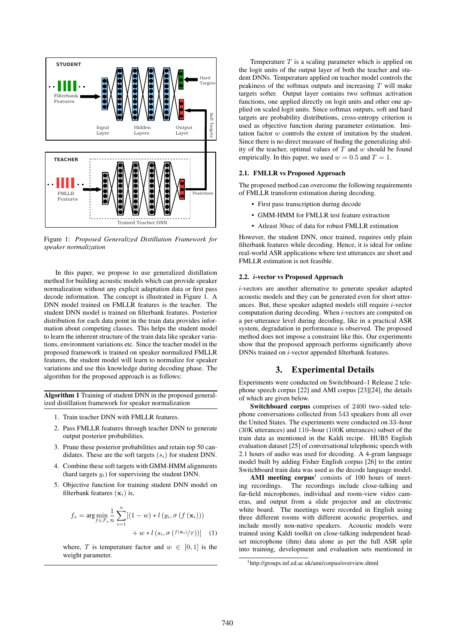

Figure 1: *Proposed Generalized Distillation Framework for speaker normalization*

In this paper, we propose to use generalized distillation method for building acoustic models which can provide speaker normalization without any explicit adaptation data or first pass decode information. The concept is illustrated in Figure 1. A DNN model trained on FMLLR features is the teacher. The student DNN model is trained on filterbank features. Posterior distribution for each data point in the train data provides information about competing classes. This helps the student model to learn the inherent structure of the train data like speaker variations, environment variations etc. Since the teacher model in the proposed framework is trained on speaker normalized FMLLR features, the student model will learn to normalize for speaker variations and use this knowledge during decoding phase. The algorithm for the proposed approach is as follows:

Algorithm 1 Training of student DNN in the proposed generalized distillation framework for speaker normalization

- 1. Train teacher DNN with FMLLR features.
- 2. Pass FMLLR features through teacher DNN to generate output posterior probabilities.
- 3. Prune these posterior probabilities and retain top 50 candidates. These are the soft targets  $(s_i)$  for student DNN.
- 4. Combine these soft targets with GMM-HMM alignments (hard targets  $y_i$ ) for supervising the student DNN.
- 5. Objective function for training student DNN model on filterbank features  $(\mathbf{x}_i)$  is,

$$
f_s = \arg\min_{f \in \mathcal{F}_s} \frac{1}{n} \sum_{i=1}^n [(1-w) * l(y_i, \sigma(f(\mathbf{x}_i)))) + w * l(s_i, \sigma(f(\mathbf{x}_i)/T))] \quad (1)
$$

where, T is temperature factor and  $w \in [0, 1]$  is the weight parameter.

Temperature  $T$  is a scaling parameter which is applied on the logit units of the output layer of both the teacher and student DNNs. Temperature applied on teacher model controls the peakiness of the softmax outputs and increasing  $T$  will make targets softer. Output layer contains two softmax activation functions, one applied directly on logit units and other one applied on scaled logit units. Since softmax outputs, soft and hard targets are probability distributions, cross-entropy criterion is used as objective function during parameter estimation. Imitation factor w controls the extent of imitation by the student. Since there is no direct measure of finding the generalizing ability of the teacher, optimal values of  $T$  and  $w$  should be found empirically. In this paper, we used  $w = 0.5$  and  $T = 1$ .

#### 2.1. FMLLR vs Proposed Approach

The proposed method can overcome the following requirements of FMLLR transform estimation during decoding.

- First pass transcription during decode
- GMM-HMM for FMLLR test feature extraction
- Atleast 30sec of data for robust FMLLR estimation

However, the student DNN, once trained, requires only plain filterbank features while decoding. Hence, it is ideal for online real-world ASR applications where test utterances are short and FMLLR estimation is not feasible.

#### 2.2. *i*-vector vs Proposed Approach

*i*-vectors are another alternative to generate speaker adapted acoustic models and they can be generated even for short utterances. But, these speaker adapted models still require *i*-vector computation during decoding. When *i*-vectors are computed on a per-utterance level during decoding, like in a practical ASR system, degradation in performance is observed. The proposed method does not impose a constraint like this. Our experiments show that the proposed approach performs significantly above DNNs trained on *i*-vector appended filterbank features.

### **3. Experimental Details**

Experiments were conducted on Switchboard–1 Release 2 telephone speech corpus [22] and AMI corpus [23][24], the details of which are given below.

Switchboard corpus comprises of 2400 two–sided telephone conversations collected from 543 speakers from all over the United States. The experiments were conducted on 33–hour (30K utterances) and 110–hour (100K utterances) subset of the train data as mentioned in the Kaldi recipe. HUB5 English evaluation dataset [25] of conversational telephonic speech with 2.1 hours of audio was used for decoding. A 4-gram language model built by adding Fisher English corpus [26] to the entire Switchboard train data was used as the decode language model.

AMI meeting corpus<sup>1</sup> consists of 100 hours of meeting recordings. The recordings include close-talking and far-field microphones, individual and room-view video cameras, and output from a slide projector and an electronic white board. The meetings were recorded in English using three different rooms with different acoustic properties, and include mostly non-native speakers. Acoustic models were trained using Kaldi toolkit on close-talking independent headset microphone (ihm) data alone as per the full ASR split into training, development and evaluation sets mentioned in

<sup>1</sup>http://groups.inf.ed.ac.uk/ami/corpus/overview.shtml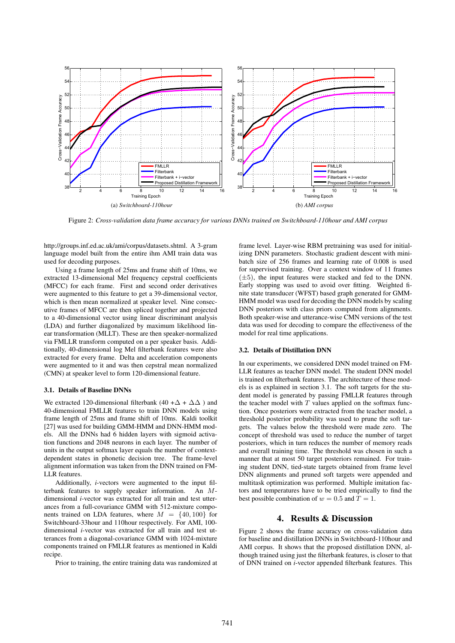

Figure 2: *Cross-validation data frame accuracy for various DNNs trained on Switchboard-110hour and AMI corpus*

http://groups.inf.ed.ac.uk/ami/corpus/datasets.shtml. A 3-gram language model built from the entire ihm AMI train data was used for decoding purposes.

Using a frame length of 25ms and frame shift of 10ms, we extracted 13-dimensional Mel frequency cepstral coefficients (MFCC) for each frame. First and second order derivatives were augmented to this feature to get a 39-dimensional vector, which is then mean normalized at speaker level. Nine consecutive frames of MFCC are then spliced together and projected to a 40-dimensional vector using linear discriminant analysis (LDA) and further diagonalized by maximum likelihood linear transformation (MLLT). These are then speaker-normalized via FMLLR transform computed on a per speaker basis. Additionally, 40-dimensional log Mel filterbank features were also extracted for every frame. Delta and acceleration components were augmented to it and was then cepstral mean normalized (CMN) at speaker level to form 120-dimensional feature.

#### 3.1. Details of Baseline DNNs

We extracted 120-dimensional filterbank (40 + $\Delta$  +  $\Delta\Delta$ ) and 40-dimensional FMLLR features to train DNN models using frame length of 25ms and frame shift of 10ms. Kaldi toolkit [27] was used for building GMM-HMM and DNN-HMM models. All the DNNs had 6 hidden layers with sigmoid activation functions and 2048 neurons in each layer. The number of units in the output softmax layer equals the number of contextdependent states in phonetic decision tree. The frame-level alignment information was taken from the DNN trained on FM-LLR features.

Additionally, *i*-vectors were augmented to the input filterbank features to supply speaker information. An Mdimensional *i*-vector was extracted for all train and test utterances from a full-covariance GMM with 512-mixture components trained on LDA features, where  $M = \{40, 100\}$  for Switchboard-33hour and 110hour respectively. For AMI, 100 dimensional *i*-vector was extracted for all train and test utterances from a diagonal-covariance GMM with 1024-mixture components trained on FMLLR features as mentioned in Kaldi recipe.

Prior to training, the entire training data was randomized at

frame level. Layer-wise RBM pretraining was used for initializing DNN parameters. Stochastic gradient descent with minibatch size of 256 frames and learning rate of 0.008 is used for supervised training. Over a context window of 11 frames (±5), the input features were stacked and fed to the DNN. Early stopping was used to avoid over fitting. Weighted finite state transducer (WFST) based graph generated for GMM-HMM model was used for decoding the DNN models by scaling DNN posteriors with class priors computed from alignments. Both speaker-wise and utterance-wise CMN versions of the test data was used for decoding to compare the effectiveness of the model for real time applications.

#### 3.2. Details of Distillation DNN

In our experiments, we considered DNN model trained on FM-LLR features as teacher DNN model. The student DNN model is trained on filterbank features. The architecture of these models is as explained in section 3.1. The soft targets for the student model is generated by passing FMLLR features through the teacher model with  $T$  values applied on the softmax function. Once posteriors were extracted from the teacher model, a threshold posterior probability was used to prune the soft targets. The values below the threshold were made zero. The concept of threshold was used to reduce the number of target posteriors, which in turn reduces the number of memory reads and overall training time. The threshold was chosen in such a manner that at most 50 target posteriors remained. For training student DNN, tied-state targets obtained from frame level DNN alignments and pruned soft targets were appended and multitask optimization was performed. Multiple imitation factors and temperatures have to be tried empirically to find the best possible combination of  $w = 0.5$  and  $T = 1$ .

## **4. Results & Discussion**

Figure 2 shows the frame accuracy on cross-validation data for baseline and distillation DNNs in Switchboard-110hour and AMI corpus. It shows that the proposed distillation DNN, although trained using just the filterbank features, is closer to that of DNN trained on *i*-vector appended filterbank features. This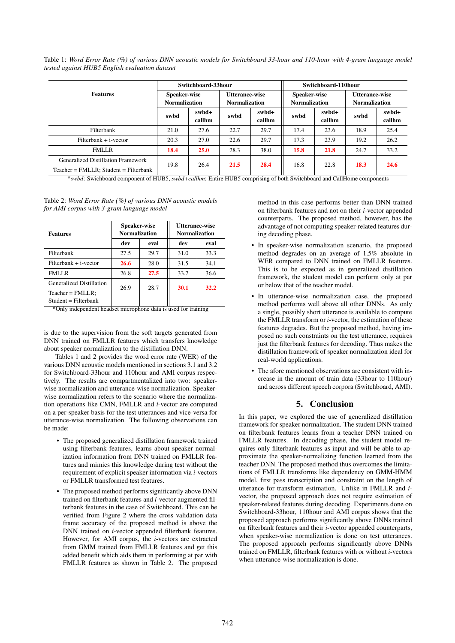Table 1: *Word Error Rate (%) of various DNN acoustic models for Switchboard 33-hour and 110-hour with 4-gram language model tested against HUB5 English evaluation dataset*

|                                                                                       | Switchboard-33hour                   |                 |                                        |                 | Switchboard-110hour                  |                 |                                        |                 |
|---------------------------------------------------------------------------------------|--------------------------------------|-----------------|----------------------------------------|-----------------|--------------------------------------|-----------------|----------------------------------------|-----------------|
| <b>Features</b>                                                                       | Speaker-wise<br><b>Normalization</b> |                 | Utterance-wise<br><b>Normalization</b> |                 | Speaker-wise<br><b>Normalization</b> |                 | Utterance-wise<br><b>Normalization</b> |                 |
|                                                                                       | swbd                                 | swbd+<br>callhm | swbd                                   | swbd+<br>callhm | swbd                                 | swbd+<br>callhm | swbd                                   | swbd+<br>callhm |
| Filterbank                                                                            | 21.0                                 | 27.6            | 22.7                                   | 29.7            | 17.4                                 | 23.6            | 18.9                                   | 25.4            |
| $Filterbank + i-vector$                                                               | 20.3                                 | 27.0            | 22.6                                   | 29.7            | 17.3                                 | 23.9            | 19.2                                   | 26.2            |
| <b>FMLLR</b>                                                                          | 18.4                                 | <b>25.0</b>     | 28.3                                   | 38.0            | 15.8                                 | 21.8            | 24.7                                   | 33.2            |
| <b>Generalized Distillation Framework</b><br>$Teacher = FMLLR$ ; Student = Filterbank | 19.8                                 | 26.4            | 21.5                                   | 28.4            | 16.8                                 | 22.8            | 18.3                                   | 24.6            |

\**swbd*: Swichboard component of HUB5, *swbd+callhm*: Entire HUB5 comprising of both Switchboard and CallHome components

| <b>Features</b>                 | Speaker-wise<br><b>Normalization</b> |      | Utterance-wise<br><b>Normalization</b> |      |  |
|---------------------------------|--------------------------------------|------|----------------------------------------|------|--|
|                                 | dev                                  | eval | dev                                    | eval |  |
| Filterbank                      | 27.5                                 | 29.7 | 31.0                                   | 33.3 |  |
| $Filterbank + i-vector$         | 26.6                                 | 28.0 | 31.5                                   | 34.1 |  |
| <b>FMLLR</b>                    | 26.8                                 | 27.5 | 33.7                                   | 36.6 |  |
| <b>Generalized Distillation</b> | 26.9                                 | 28.7 | 30.1                                   | 32.2 |  |
| $Teacher = FMLLR$ ;             |                                      |      |                                        |      |  |
| $Student = Filterbank$          |                                      |      |                                        |      |  |

Table 2: *Word Error Rate (%) of various DNN acoustic models for AMI corpus with 3-gram language model*

\*Only independent headset microphone data is used for training

is due to the supervision from the soft targets generated from DNN trained on FMLLR features which transfers knowledge about speaker normalization to the distillation DNN.

Tables 1 and 2 provides the word error rate (WER) of the various DNN acoustic models mentioned in sections 3.1 and 3.2 for Switchboard-33hour and 110hour and AMI corpus respectively. The results are compartmentalized into two: speakerwise normalization and utterance-wise normalization. Speakerwise normalization refers to the scenario where the normalization operations like CMN, FMLLR and *i*-vector are computed on a per-speaker basis for the test utterances and vice-versa for utterance-wise normalization. The following observations can be made:

- The proposed generalized distillation framework trained using filterbank features, learns about speaker normalization information from DNN trained on FMLLR features and mimics this knowledge during test without the requirement of explicit speaker information via *i*-vectors or FMLLR transformed test features.
- The proposed method performs significantly above DNN trained on filterbank features and *i*-vector augmented filterbank features in the case of Switchboard. This can be verified from Figure 2 where the cross validation data frame accuracy of the proposed method is above the DNN trained on *i*-vector appended filterbank features. However, for AMI corpus, the *i*-vectors are extracted from GMM trained from FMLLR features and get this added benefit which aids them in performing at par with FMLLR features as shown in Table 2. The proposed

method in this case performs better than DNN trained on filterbank features and not on their *i*-vector appended counterparts. The proposed method, however, has the advantage of not computing speaker-related features during decoding phase.

- In speaker-wise normalization scenario, the proposed method degrades on an average of 1.5% absolute in WER compared to DNN trained on FMLLR features. This is to be expected as in generalized distillation framework, the student model can perform only at par or below that of the teacher model.
- In utterance-wise normalization case, the proposed method performs well above all other DNNs. As only a single, possibly short utterance is available to compute the FMLLR transform or *i*-vector, the estimation of these features degrades. But the proposed method, having imposed no such constraints on the test utterance, requires just the filterbank features for decoding. Thus makes the distillation framework of speaker normalization ideal for real-world applications.
- The afore mentioned observations are consistent with increase in the amount of train data (33hour to 110hour) and across different speech corpora (Switchboard, AMI).

## **5. Conclusion**

In this paper, we explored the use of generalized distillation framework for speaker normalization. The student DNN trained on filterbank features learns from a teacher DNN trained on FMLLR features. In decoding phase, the student model requires only filterbank features as input and will be able to approximate the speaker-normalizing function learned from the teacher DNN. The proposed method thus overcomes the limitations of FMLLR transforms like dependency on GMM-HMM model, first pass transcription and constraint on the length of utterance for transform estimation. Unlike in FMLLR and *i*vector, the proposed approach does not require estimation of speaker-related features during decoding. Experiments done on Switchboard-33hour, 110hour and AMI corpus shows that the proposed approach performs significantly above DNNs trained on filterbank features and their *i*-vector appended counterparts, when speaker-wise normalization is done on test utterances. The proposed approach performs significantly above DNNs trained on FMLLR, filterbank features with or without *i*-vectors when utterance-wise normalization is done.